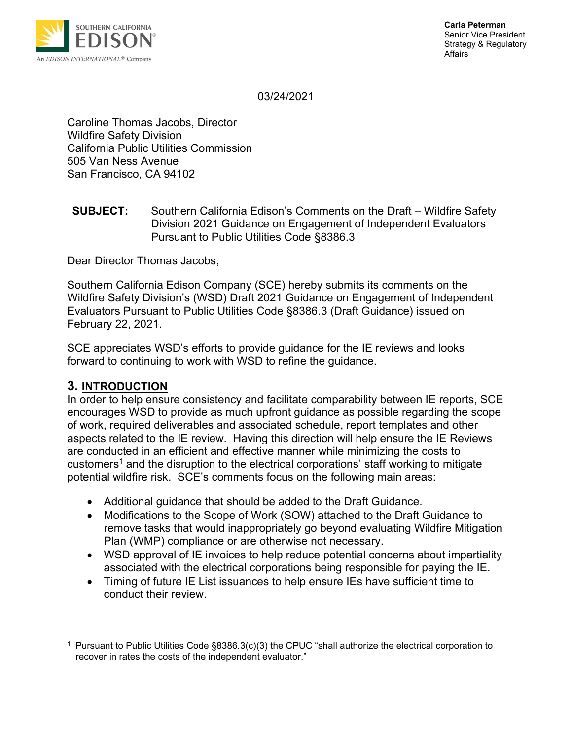

03/24/2021

Caroline Thomas Jacobs, Director Wildfire Safety Division California Public Utilities Commission 505 Van Ness Avenue San Francisco, CA 94102

**SUBJECT:** Southern California Edison's Comments on the Draft – Wildfire Safety Division 2021 Guidance on Engagement of Independent Evaluators Pursuant to Public Utilities Code §8386.3

Dear Director Thomas Jacobs,

Southern California Edison Company (SCE) hereby submits its comments on the Wildfire Safety Division's (WSD) Draft 2021 Guidance on Engagement of Independent Evaluators Pursuant to Public Utilities Code §8386.3 (Draft Guidance) issued on February 22, 2021.

SCE appreciates WSD's efforts to provide guidance for the IE reviews and looks forward to continuing to work with WSD to refine the guidance.

## **3. INTRODUCTION**

In order to help ensure consistency and facilitate comparability between IE reports, SCE encourages WSD to provide as much upfront guidance as possible regarding the scope of work, required deliverables and associated schedule, report templates and other aspects related to the IE review. Having this direction will help ensure the IE Reviews are conducted in an efficient and effective manner while minimizing the costs to customers<sup>1</sup> and the disruption to the electrical corporations' staff working to mitigate potential wildfire risk. SCE's comments focus on the following main areas:

- Additional guidance that should be added to the Draft Guidance.
- Modifications to the Scope of Work (SOW) attached to the Draft Guidance to remove tasks that would inappropriately go beyond evaluating Wildfire Mitigation Plan (WMP) compliance or are otherwise not necessary.
- WSD approval of IE invoices to help reduce potential concerns about impartiality associated with the electrical corporations being responsible for paying the IE.
- Timing of future IE List issuances to help ensure IEs have sufficient time to conduct their review.

<sup>1</sup> Pursuant to Public Utilities Code §8386.3(c)(3) the CPUC "shall authorize the electrical corporation to recover in rates the costs of the independent evaluator."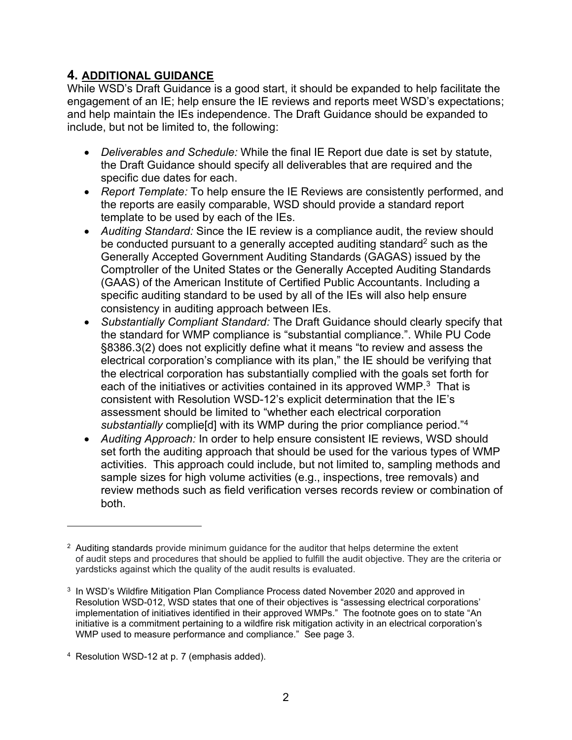## **4. ADDITIONAL GUIDANCE**

While WSD's Draft Guidance is a good start, it should be expanded to help facilitate the engagement of an IE; help ensure the IE reviews and reports meet WSD's expectations; and help maintain the IEs independence. The Draft Guidance should be expanded to include, but not be limited to, the following:

- *Deliverables and Schedule:* While the final IE Report due date is set by statute, the Draft Guidance should specify all deliverables that are required and the specific due dates for each.
- *Report Template:* To help ensure the IE Reviews are consistently performed, and the reports are easily comparable, WSD should provide a standard report template to be used by each of the IEs.
- *Auditing Standard:* Since the IE review is a compliance audit, the review should be conducted pursuant to a generally accepted auditing standard<sup>2</sup> such as the Generally Accepted Government Auditing Standards (GAGAS) issued by the Comptroller of the United States or the Generally Accepted Auditing Standards (GAAS) of the American Institute of Certified Public Accountants. Including a specific auditing standard to be used by all of the IEs will also help ensure consistency in auditing approach between IEs.
- *Substantially Compliant Standard:* The Draft Guidance should clearly specify that the standard for WMP compliance is "substantial compliance.". While PU Code §8386.3(2) does not explicitly define what it means "to review and assess the electrical corporation's compliance with its plan," the IE should be verifying that the electrical corporation has substantially complied with the goals set forth for each of the initiatives or activities contained in its approved WMP. $3$  That is consistent with Resolution WSD-12's explicit determination that the IE's assessment should be limited to "whether each electrical corporation *substantially* complie[d] with its WMP during the prior compliance period."<sup>4</sup>
- *Auditing Approach:* In order to help ensure consistent IE reviews, WSD should set forth the auditing approach that should be used for the various types of WMP activities. This approach could include, but not limited to, sampling methods and sample sizes for high volume activities (e.g., inspections, tree removals) and review methods such as field verification verses records review or combination of both.

 $2$  Auditing standards provide minimum guidance for the auditor that helps determine the extent of audit steps and procedures that should be applied to fulfill the audit objective. They are the criteria or yardsticks against which the quality of the audit results is evaluated.

<sup>3</sup> In WSD's Wildfire Mitigation Plan Compliance Process dated November 2020 and approved in Resolution WSD-012, WSD states that one of their objectives is "assessing electrical corporations' implementation of initiatives identified in their approved WMPs." The footnote goes on to state "An initiative is a commitment pertaining to a wildfire risk mitigation activity in an electrical corporation's WMP used to measure performance and compliance." See page 3.

<sup>4</sup> Resolution WSD-12 at p. 7 (emphasis added).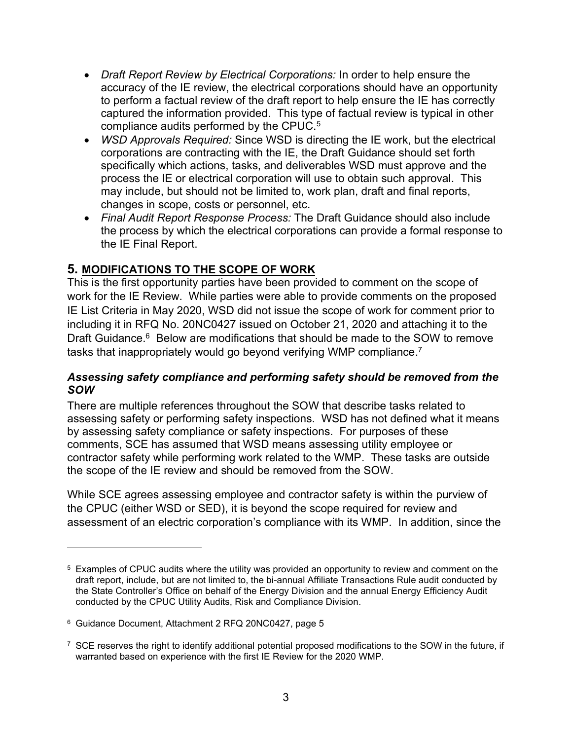- *Draft Report Review by Electrical Corporations:* In order to help ensure the accuracy of the IE review, the electrical corporations should have an opportunity to perform a factual review of the draft report to help ensure the IE has correctly captured the information provided. This type of factual review is typical in other compliance audits performed by the CPUC.<sup>5</sup>
- *WSD Approvals Required:* Since WSD is directing the IE work, but the electrical corporations are contracting with the IE, the Draft Guidance should set forth specifically which actions, tasks, and deliverables WSD must approve and the process the IE or electrical corporation will use to obtain such approval. This may include, but should not be limited to, work plan, draft and final reports, changes in scope, costs or personnel, etc.
- *Final Audit Report Response Process:* The Draft Guidance should also include the process by which the electrical corporations can provide a formal response to the IE Final Report.

# **5. MODIFICATIONS TO THE SCOPE OF WORK**

This is the first opportunity parties have been provided to comment on the scope of work for the IE Review. While parties were able to provide comments on the proposed IE List Criteria in May 2020, WSD did not issue the scope of work for comment prior to including it in RFQ No. 20NC0427 issued on October 21, 2020 and attaching it to the Draft Guidance.<sup>6</sup> Below are modifications that should be made to the SOW to remove tasks that inappropriately would go beyond verifying WMP compliance. 7

#### *Assessing safety compliance and performing safety should be removed from the SOW*

There are multiple references throughout the SOW that describe tasks related to assessing safety or performing safety inspections. WSD has not defined what it means by assessing safety compliance or safety inspections. For purposes of these comments, SCE has assumed that WSD means assessing utility employee or contractor safety while performing work related to the WMP. These tasks are outside the scope of the IE review and should be removed from the SOW.

While SCE agrees assessing employee and contractor safety is within the purview of the CPUC (either WSD or SED), it is beyond the scope required for review and assessment of an electric corporation's compliance with its WMP. In addition, since the

<sup>5</sup> Examples of CPUC audits where the utility was provided an opportunity to review and comment on the draft report, include, but are not limited to, the bi-annual Affiliate Transactions Rule audit conducted by the State Controller's Office on behalf of the Energy Division and the annual Energy Efficiency Audit conducted by the CPUC Utility Audits, Risk and Compliance Division.

<sup>6</sup> Guidance Document, Attachment 2 RFQ 20NC0427, page 5

 $7$  SCE reserves the right to identify additional potential proposed modifications to the SOW in the future, if warranted based on experience with the first IE Review for the 2020 WMP.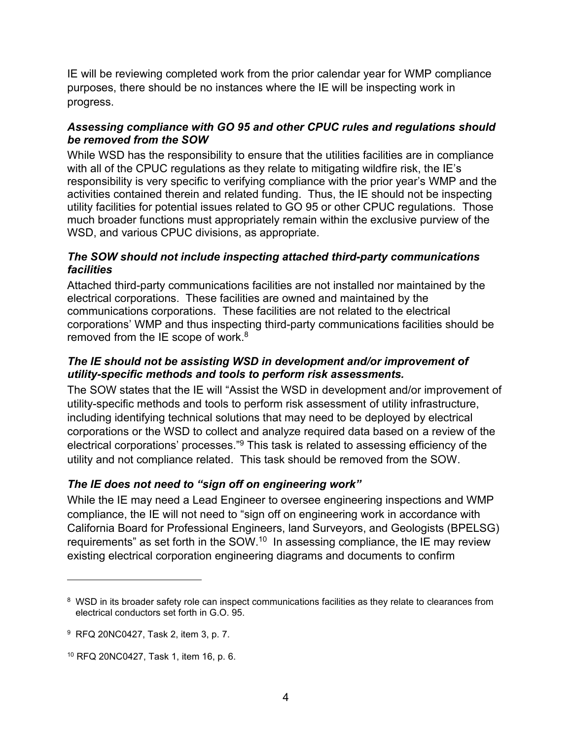IE will be reviewing completed work from the prior calendar year for WMP compliance purposes, there should be no instances where the IE will be inspecting work in progress.

### *Assessing compliance with GO 95 and other CPUC rules and regulations should be removed from the SOW*

While WSD has the responsibility to ensure that the utilities facilities are in compliance with all of the CPUC regulations as they relate to mitigating wildfire risk, the IE's responsibility is very specific to verifying compliance with the prior year's WMP and the activities contained therein and related funding. Thus, the IE should not be inspecting utility facilities for potential issues related to GO 95 or other CPUC regulations. Those much broader functions must appropriately remain within the exclusive purview of the WSD, and various CPUC divisions, as appropriate.

## *The SOW should not include inspecting attached third-party communications facilities*

Attached third-party communications facilities are not installed nor maintained by the electrical corporations. These facilities are owned and maintained by the communications corporations. These facilities are not related to the electrical corporations' WMP and thus inspecting third-party communications facilities should be removed from the IE scope of work. $8$ 

#### *The IE should not be assisting WSD in development and/or improvement of utility-specific methods and tools to perform risk assessments.*

The SOW states that the IE will "Assist the WSD in development and/or improvement of utility-specific methods and tools to perform risk assessment of utility infrastructure, including identifying technical solutions that may need to be deployed by electrical corporations or the WSD to collect and analyze required data based on a review of the electrical corporations' processes."<sup>9</sup> This task is related to assessing efficiency of the utility and not compliance related. This task should be removed from the SOW.

## *The IE does not need to "sign off on engineering work"*

While the IE may need a Lead Engineer to oversee engineering inspections and WMP compliance, the IE will not need to "sign off on engineering work in accordance with California Board for Professional Engineers, land Surveyors, and Geologists (BPELSG) requirements" as set forth in the SOW. $^{10}$  In assessing compliance, the IE may review existing electrical corporation engineering diagrams and documents to confirm

<sup>&</sup>lt;sup>8</sup> WSD in its broader safety role can inspect communications facilities as they relate to clearances from electrical conductors set forth in G.O. 95.

<sup>9</sup> RFQ 20NC0427, Task 2, item 3, p. 7.

<sup>10</sup> RFQ 20NC0427, Task 1, item 16, p. 6.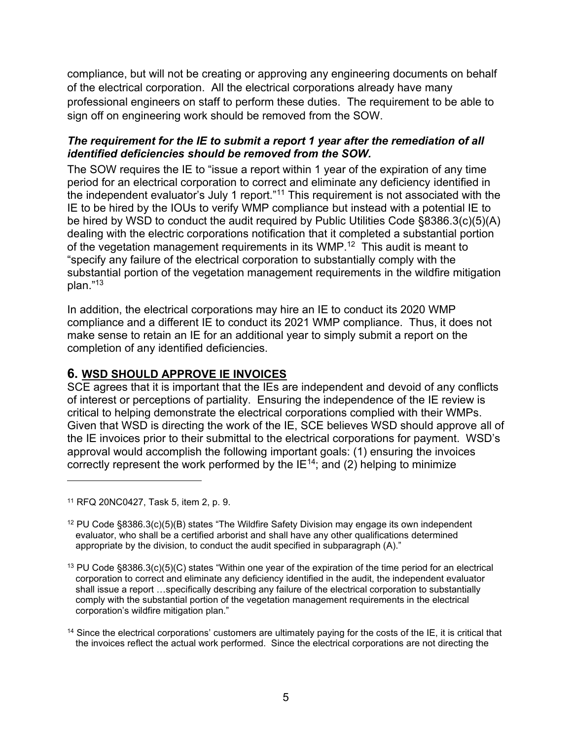compliance, but will not be creating or approving any engineering documents on behalf of the electrical corporation. All the electrical corporations already have many professional engineers on staff to perform these duties. The requirement to be able to sign off on engineering work should be removed from the SOW.

### *The requirement for the IE to submit a report 1 year after the remediation of all identified deficiencies should be removed from the SOW.*

The SOW requires the IE to "issue a report within 1 year of the expiration of any time period for an electrical corporation to correct and eliminate any deficiency identified in the independent evaluator's July 1 report."<sup>11</sup> This requirement is not associated with the IE to be hired by the IOUs to verify WMP compliance but instead with a potential IE to be hired by WSD to conduct the audit required by Public Utilities Code §8386.3(c)(5)(A) dealing with the electric corporations notification that it completed a substantial portion of the vegetation management requirements in its WMP.<sup>12</sup> This audit is meant to "specify any failure of the electrical corporation to substantially comply with the substantial portion of the vegetation management requirements in the wildfire mitigation plan."<sup>13</sup>

In addition, the electrical corporations may hire an IE to conduct its 2020 WMP compliance and a different IE to conduct its 2021 WMP compliance. Thus, it does not make sense to retain an IE for an additional year to simply submit a report on the completion of any identified deficiencies.

## **6. WSD SHOULD APPROVE IE INVOICES**

SCE agrees that it is important that the IEs are independent and devoid of any conflicts of interest or perceptions of partiality. Ensuring the independence of the IE review is critical to helping demonstrate the electrical corporations complied with their WMPs. Given that WSD is directing the work of the IE, SCE believes WSD should approve all of the IE invoices prior to their submittal to the electrical corporations for payment. WSD's approval would accomplish the following important goals: (1) ensuring the invoices correctly represent the work performed by the  $IE^{14}$ ; and (2) helping to minimize

<sup>11</sup> RFQ 20NC0427, Task 5, item 2, p. 9.

 $12$  PU Code §8386.3(c)(5)(B) states "The Wildfire Safety Division may engage its own independent evaluator, who shall be a certified arborist and shall have any other qualifications determined appropriate by the division, to conduct the audit specified in subparagraph (A)."

<sup>13</sup> PU Code §8386.3(c)(5)(C) states "Within one year of the expiration of the time period for an electrical corporation to correct and eliminate any deficiency identified in the audit, the independent evaluator shall issue a report …specifically describing any failure of the electrical corporation to substantially comply with the substantial portion of the vegetation management requirements in the electrical corporation's wildfire mitigation plan."

<sup>&</sup>lt;sup>14</sup> Since the electrical corporations' customers are ultimately paying for the costs of the IE, it is critical that the invoices reflect the actual work performed. Since the electrical corporations are not directing the